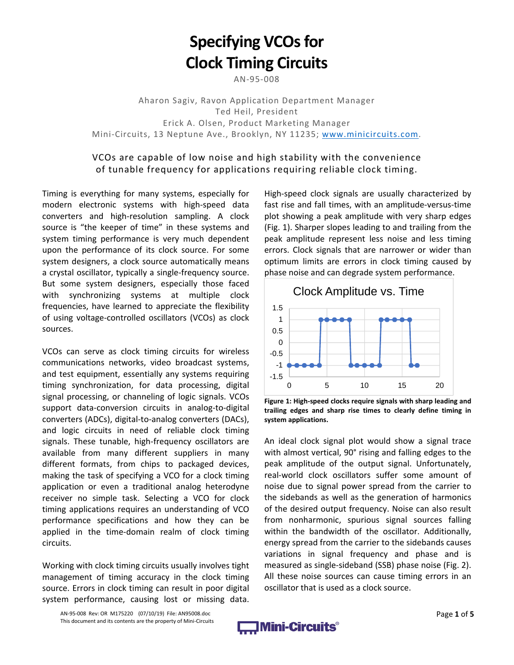# **Specifying VCOs for Clock Timing Circuits**

AN‐95‐008

Aharon Sagiv, Ravon Application Department Manager Ted Heil, President Erick A. Olsen, Product Marketing Manager Mini‐Circuits, 13 Neptune Ave., Brooklyn, NY 11235; www.minicircuits.com.

## VCOs are capable of low noise and high stability with the convenience of tunable frequency for applications requiring reliable clock timing.

Timing is everything for many systems, especially for modern electronic systems with high‐speed data converters and high‐resolution sampling. A clock source is "the keeper of time" in these systems and system timing performance is very much dependent upon the performance of its clock source. For some system designers, a clock source automatically means a crystal oscillator, typically a single‐frequency source. But some system designers, especially those faced with synchronizing systems at multiple clock frequencies, have learned to appreciate the flexibility of using voltage‐controlled oscillators (VCOs) as clock sources.

VCOs can serve as clock timing circuits for wireless communications networks, video broadcast systems, and test equipment, essentially any systems requiring timing synchronization, for data processing, digital signal processing, or channeling of logic signals. VCOs support data-conversion circuits in analog-to-digital converters (ADCs), digital‐to‐analog converters (DACs), and logic circuits in need of reliable clock timing signals. These tunable, high-frequency oscillators are available from many different suppliers in many different formats, from chips to packaged devices, making the task of specifying a VCO for a clock timing application or even a traditional analog heterodyne receiver no simple task. Selecting a VCO for clock timing applications requires an understanding of VCO performance specifications and how they can be applied in the time‐domain realm of clock timing circuits.

Working with clock timing circuits usually involves tight management of timing accuracy in the clock timing source. Errors in clock timing can result in poor digital system performance, causing lost or missing data.

High‐speed clock signals are usually characterized by fast rise and fall times, with an amplitude‐versus‐time plot showing a peak amplitude with very sharp edges (Fig. 1). Sharper slopes leading to and trailing from the peak amplitude represent less noise and less timing errors. Clock signals that are narrower or wider than optimum limits are errors in clock timing caused by phase noise and can degrade system performance.



**Figure 1: High‐speed clocks require signals with sharp leading and trailing edges and sharp rise times to clearly define timing in system applications.**

An ideal clock signal plot would show a signal trace with almost vertical, 90° rising and falling edges to the peak amplitude of the output signal. Unfortunately, real‐world clock oscillators suffer some amount of noise due to signal power spread from the carrier to the sidebands as well as the generation of harmonics of the desired output frequency. Noise can also result from nonharmonic, spurious signal sources falling within the bandwidth of the oscillator. Additionally, energy spread from the carrier to the sidebands causes variations in signal frequency and phase and is measured as single‐sideband (SSB) phase noise (Fig. 2). All these noise sources can cause timing errors in an oscillator that is used as a clock source.

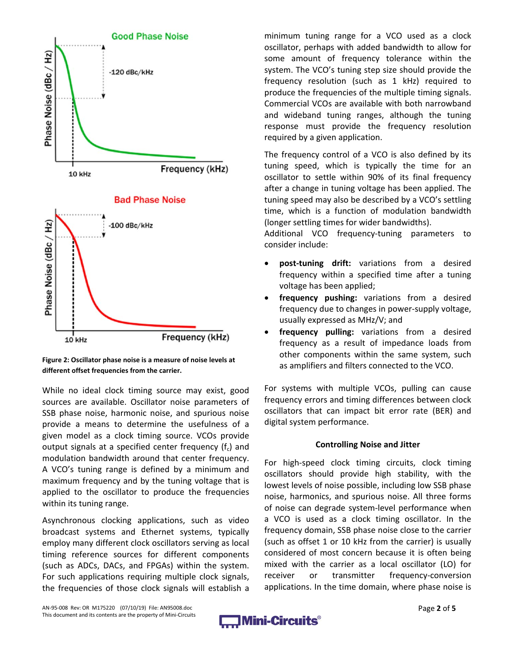

**Figure 2: Oscillator phase noise is a measure of noise levels at different offset frequencies from the carrier.**

While no ideal clock timing source may exist, good sources are available. Oscillator noise parameters of SSB phase noise, harmonic noise, and spurious noise provide a means to determine the usefulness of a given model as a clock timing source. VCOs provide output signals at a specified center frequency  $(f_c)$  and modulation bandwidth around that center frequency. A VCO's tuning range is defined by a minimum and maximum frequency and by the tuning voltage that is applied to the oscillator to produce the frequencies within its tuning range.

Asynchronous clocking applications, such as video broadcast systems and Ethernet systems, typically employ many different clock oscillators serving as local timing reference sources for different components (such as ADCs, DACs, and FPGAs) within the system. For such applications requiring multiple clock signals, the frequencies of those clock signals will establish a minimum tuning range for a VCO used as a clock oscillator, perhaps with added bandwidth to allow for some amount of frequency tolerance within the system. The VCO's tuning step size should provide the frequency resolution (such as 1 kHz) required to produce the frequencies of the multiple timing signals. Commercial VCOs are available with both narrowband and wideband tuning ranges, although the tuning response must provide the frequency resolution required by a given application.

The frequency control of a VCO is also defined by its tuning speed, which is typically the time for an oscillator to settle within 90% of its final frequency after a change in tuning voltage has been applied. The tuning speed may also be described by a VCO's settling time, which is a function of modulation bandwidth (longer settling times for wider bandwidths).

Additional VCO frequency-tuning parameters to consider include:

- **post‐tuning drift:** variations from a desired frequency within a specified time after a tuning voltage has been applied;
- **frequency pushing:** variations from a desired frequency due to changes in power‐supply voltage, usually expressed as MHz/V; and
- **frequency pulling:** variations from a desired frequency as a result of impedance loads from other components within the same system, such as amplifiers and filters connected to the VCO.

For systems with multiple VCOs, pulling can cause frequency errors and timing differences between clock oscillators that can impact bit error rate (BER) and digital system performance.

#### **Controlling Noise and Jitter**

For high‐speed clock timing circuits, clock timing oscillators should provide high stability, with the lowest levels of noise possible, including low SSB phase noise, harmonics, and spurious noise. All three forms of noise can degrade system‐level performance when a VCO is used as a clock timing oscillator. In the frequency domain, SSB phase noise close to the carrier (such as offset 1 or 10 kHz from the carrier) is usually considered of most concern because it is often being mixed with the carrier as a local oscillator (LO) for receiver or transmitter frequency-conversion applications. In the time domain, where phase noise is

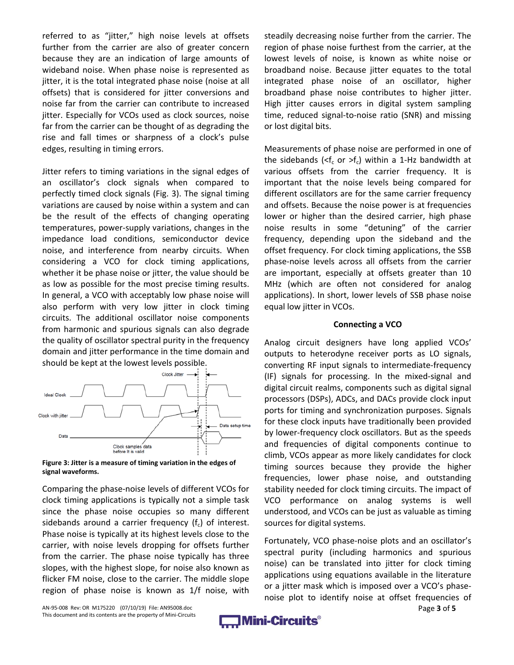referred to as "jitter," high noise levels at offsets further from the carrier are also of greater concern because they are an indication of large amounts of wideband noise. When phase noise is represented as jitter, it is the total integrated phase noise (noise at all offsets) that is considered for jitter conversions and noise far from the carrier can contribute to increased jitter. Especially for VCOs used as clock sources, noise far from the carrier can be thought of as degrading the rise and fall times or sharpness of a clock's pulse edges, resulting in timing errors.

Jitter refers to timing variations in the signal edges of an oscillator's clock signals when compared to perfectly timed clock signals (Fig. 3). The signal timing variations are caused by noise within a system and can be the result of the effects of changing operating temperatures, power‐supply variations, changes in the impedance load conditions, semiconductor device noise, and interference from nearby circuits. When considering a VCO for clock timing applications, whether it be phase noise or jitter, the value should be as low as possible for the most precise timing results. In general, a VCO with acceptably low phase noise will also perform with very low jitter in clock timing circuits. The additional oscillator noise components from harmonic and spurious signals can also degrade the quality of oscillator spectral purity in the frequency domain and jitter performance in the time domain and should be kept at the lowest levels possible.



**Figure 3: Jitter is a measure of timing variation in the edges of signal waveforms.**

Comparing the phase‐noise levels of different VCOs for clock timing applications is typically not a simple task since the phase noise occupies so many different sidebands around a carrier frequency  $(f_c)$  of interest. Phase noise is typically at its highest levels close to the carrier, with noise levels dropping for offsets further from the carrier. The phase noise typically has three slopes, with the highest slope, for noise also known as flicker FM noise, close to the carrier. The middle slope region of phase noise is known as 1/f noise, with

steadily decreasing noise further from the carrier. The region of phase noise furthest from the carrier, at the lowest levels of noise, is known as white noise or broadband noise. Because jitter equates to the total integrated phase noise of an oscillator, higher broadband phase noise contributes to higher jitter. High jitter causes errors in digital system sampling time, reduced signal‐to‐noise ratio (SNR) and missing or lost digital bits.

Measurements of phase noise are performed in one of the sidebands (<f<sub>c</sub> or >f<sub>c</sub>) within a 1-Hz bandwidth at various offsets from the carrier frequency. It is important that the noise levels being compared for different oscillators are for the same carrier frequency and offsets. Because the noise power is at frequencies lower or higher than the desired carrier, high phase noise results in some "detuning" of the carrier frequency, depending upon the sideband and the offset frequency. For clock timing applications, the SSB phase‐noise levels across all offsets from the carrier are important, especially at offsets greater than 10 MHz (which are often not considered for analog applications). In short, lower levels of SSB phase noise equal low jitter in VCOs.

#### **Connecting a VCO**

Analog circuit designers have long applied VCOs' outputs to heterodyne receiver ports as LO signals, converting RF input signals to intermediate‐frequency (IF) signals for processing. In the mixed‐signal and digital circuit realms, components such as digital signal processors (DSPs), ADCs, and DACs provide clock input ports for timing and synchronization purposes. Signals for these clock inputs have traditionally been provided by lower‐frequency clock oscillators. But as the speeds and frequencies of digital components continue to climb, VCOs appear as more likely candidates for clock timing sources because they provide the higher frequencies, lower phase noise, and outstanding stability needed for clock timing circuits. The impact of VCO performance on analog systems is well understood, and VCOs can be just as valuable as timing sources for digital systems.

Fortunately, VCO phase‐noise plots and an oscillator's spectral purity (including harmonics and spurious noise) can be translated into jitter for clock timing applications using equations available in the literature or a jitter mask which is imposed over a VCO's phase‐ noise plot to identify noise at offset frequencies of

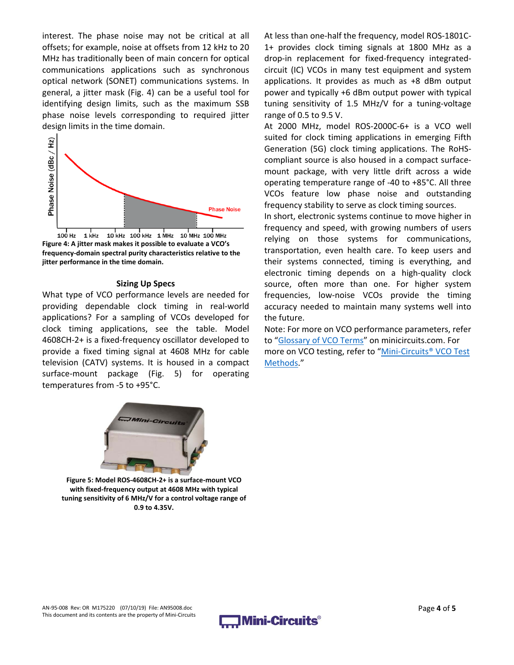interest. The phase noise may not be critical at all offsets; for example, noise at offsets from 12 kHz to 20 MHz has traditionally been of main concern for optical communications applications such as synchronous optical network (SONET) communications systems. In general, a jitter mask (Fig. 4) can be a useful tool for identifying design limits, such as the maximum SSB phase noise levels corresponding to required jitter design limits in the time domain.



**Figure 4: A jitter mask makes it possible to evaluate a VCO's frequency‐domain spectral purity characteristics relative to the jitter performance in the time domain.**

#### **Sizing Up Specs**

What type of VCO performance levels are needed for providing dependable clock timing in real‐world applications? For a sampling of VCOs developed for clock timing applications, see the table. Model 4608CH‐2+ is a fixed‐frequency oscillator developed to provide a fixed timing signal at 4608 MHz for cable television (CATV) systems. It is housed in a compact surface-mount package (Fig. 5) for operating temperatures from ‐5 to +95°C.

At less than one‐half the frequency, model ROS‐1801C‐ 1+ provides clock timing signals at 1800 MHz as a drop-in replacement for fixed-frequency integratedcircuit (IC) VCOs in many test equipment and system applications. It provides as much as +8 dBm output power and typically +6 dBm output power with typical tuning sensitivity of 1.5 MHz/V for a tuning‐voltage range of 0.5 to 9.5 V.

At 2000 MHz, model ROS‐2000C‐6+ is a VCO well suited for clock timing applications in emerging Fifth Generation (5G) clock timing applications. The RoHS‐ compliant source is also housed in a compact surface‐ mount package, with very little drift across a wide operating temperature range of ‐40 to +85°C. All three VCOs feature low phase noise and outstanding frequency stability to serve as clock timing sources.

In short, electronic systems continue to move higher in frequency and speed, with growing numbers of users relying on those systems for communications, transportation, even health care. To keep users and their systems connected, timing is everything, and electronic timing depends on a high-quality clock source, often more than one. For higher system frequencies, low‐noise VCOs provide the timing accuracy needed to maintain many systems well into the future.

Note: For more on VCO performance parameters, refer to "Glossary of VCO Terms" on minicircuits.com. For more on VCO testing, refer to "Mini‐Circuits® VCO Test Methods."



**Figure 5: Model ROS‐4608CH‐2+ is a surface‐mount VCO with fixed‐frequency output at 4608 MHz with typical tuning sensitivity of 6 MHz/V for a control voltage range of 0.9 to 4.35V.**